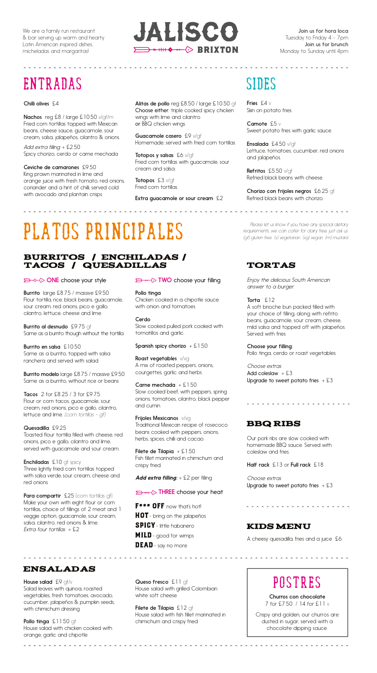. . . . . . . . . . . . . . . . .



**AAAAAAAAAA** 

# entradas sides sides

#### Chilli olives £4

Nachos reg £8 / large £10.50 v/gf/m Fried corn tortillas topped with Mexican beans, cheese sauce, guacamole, sour cream, salsa, jalapeños, cilantro & onions.

*Add extra filling:* + £2.50 Spicy chorizo, cerdo or carne mechada

Ceviche de camarones £9.50 King prawn marinated in lime and orange juice with fresh tomato, red onions, coriander and a hint of chilli, served cold with avocado and plantain crisps.

Alitas de pollo reg £8.50 / large £10.50 gf Choose either: triple cooked spicy chicken wings with lime and cilantro or BBQ chicken wings.

Guacamole casero £9 v/qf Homemade, served with fried corn tortillas.

Totopos y salsas £6 v/gf Fried corn tortillas with guacamole, sour cream and salsa.

Totopos £3 v/gf Fried corn tortillas.

**AAAAAAAAAAAAAA** 

Extra guacamole or sour cream £2

Fries £4 v Skin on potato fries.

Camote £5 v Sweet potato fries with garlic sauce.

Ensalada £4.50 v/gf Lettuce, tomatoes, cucumber, red onions and jalapeños.

Refritos £5.50 v/gf Refried black beans with cheese.

Chorizo con frijoles negros £6.25 gf Refried black beans with chorizo.

# Platos Principales

### BURRITOS / ENCHILADAS / TACOS / QUESADILLAS

### **ONE** choose your style

Burrito large £8.75 / massive £9.50 Flour tortilla, rice, black beans, guacamole, sour cream, red onions, pico e gallo, cilantro, lettuce, cheese and lime.

Burrito al desnudo £9.75 gf Same as a burrito though without the tortilla.

Burrito en salsa £10.50 Same as a burrito, topped with salsa ranchera and served with salad.

Burrito modelo large £8.75 / massive £9.50 Same as a burrito, without rice or beans.

Tacos 2 for £8.25 / 3 for £9.75 Flour or corn tacos, guacamole, sour cream, red onions, pico e gallo, cilantro, lettuce and lime. *(corn tortillas - gf)*

### Quesadilla £9.25

Toasted flour tortilla filled with cheese, red onions, pico e gallo, cilantro and lime, served with guacamole and sour cream.

Enchiladas £10 gf spicy Three lightly fried corn tortillas topped with salsa verde, sour cream, cheese and red onions.

Para compartir £25 (corn tortillas gf) Make your own with eight flour or corn tortillas, choice of fillings of 2 meat and 1 veggie option, guacamole, sour cream, salsa, cilantro, red onions & lime. *Extra four tortillas* + £2

### Ensaladas

House salad £9 gf/v Salad leaves with quinoa, roasted vegetables, fresh tomatoes, avocado, cucumber, jalapeños & pumpkin seeds, with chimichurri dressing.

Pollo tinga £11.50 gf House salad with chicken cooked with orange, garlic and chipotle.

. . . . . . . . . . . . . . . .

### $\implies \cdots \diamond$  TWO choose your filling

Pollo tinga Chicken cooked in a chipotle sauce with onion and tomatoes.

Cerdo Slow cooked pulled pork cooked with tomatillos and garlic.

#### Spanish spicy chorizo  $+ £1.50$

Roast vegetables  $v/vg$ A mix of roasted peppers, onions, courgettes, garlic and herbs.

Carne mechada  $+E1.50$ Slow cooked beef, with peppers, spring onions, tomatoes, cilantro, black pepper and cumin.

Frijoles Mexicanos v/vg Traditional Mexican recipe of rosecoco beans cooked with peppers, onions, herbs, spices, chilli and cacao.

Filete de Tilapia  $+ £1.50$ Fish fillet marinated in chimichurri and crispy fried.

*Add extra filling:* + £2 per filling

### **D** +++  $\Diamond$  THREE choose your heat

F<sup>\*\*\*</sup> OFF now that's hot! **HOT**- bring on the jalapeños

SPICY- little habanero **MILD** - good for wimps

DEAD - say no more

. . . . . . . . . . . . . . . . . . . .

Queso fresco £11 gf House salad with grilled Colombian white soft cheese.

Filete de Tilapia £12 gf House salad with fish fillet marinated in chimichurri and crispy fried.

*Please let us know if you have any special dietary requirements, we can cater for dairy free, just ask us. (gf) gluten free (v) vegetarian (vg) vegan (m) mustard* 

### TORTAS

*Enjoy the delicious South American answer to a burger.*

Torta £12

A soft brioche bun packed filled with your choice of filling, along with refrito beans, guacamole, sour cream, cheese, mild salsa and topped off with jalapeños. Served with fries.

### Choose your filling:

Pollo tinga, cerdo or roast vegetables.

*Choose extras* Add coleslaw  $+£3$ Upgrade to sweet potato fries  $+ £3$ 

### BBQ RIBS

Our pork ribs are slow cooked with homemade BBQ sauce. Served with coleslaw and fries.

Half rack £13 or Full rack £18

*Choose extras* Upgrade to sweet potato fries  $+ £3$ 

### KIDS MENU

A cheesy quesadilla, fries and a juice £6

### Postres

Churros con chocolate 7 for £7.50 / 14 for £11 v

Crispy and golden, our churros are dusted in sugar, served with a chocolate dipping sauce.

. . . . . . . . . . . . . . . .